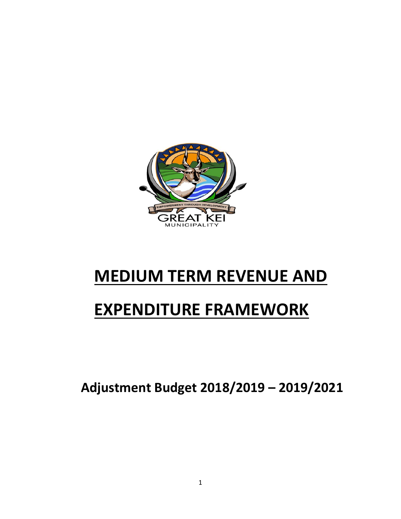

# **MEDIUM TERM REVENUE AND**

# **EXPENDITURE FRAMEWORK**

**Adjustment Budget 2018/2019 – 2019/2021**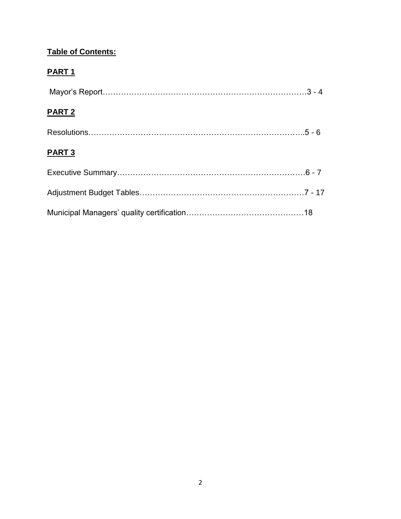# **Table of Contents:**

# **PART 1**

| <b>PART 2</b> |  |
|---------------|--|
|               |  |
| <b>PART3</b>  |  |
|               |  |
|               |  |
|               |  |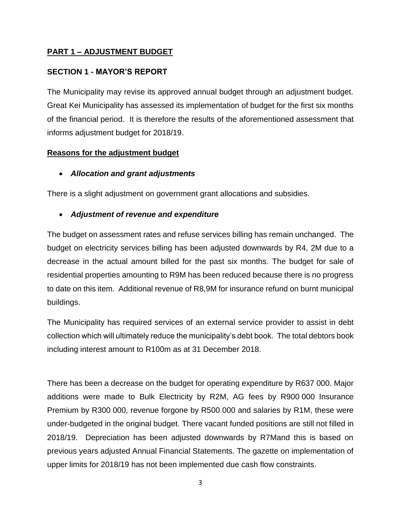# **PART 1 – ADJUSTMENT BUDGET**

# **SECTION 1 - MAYOR'S REPORT**

The Municipality may revise its approved annual budget through an adjustment budget. Great Kei Municipality has assessed its implementation of budget for the first six months of the financial period. It is therefore the results of the aforementioned assessment that informs adjustment budget for 2018/19.

#### **Reasons for the adjustment budget**

*Allocation and grant adjustments*

There is a slight adjustment on government grant allocations and subsidies.

# *Adjustment of revenue and expenditure*

The budget on assessment rates and refuse services billing has remain unchanged. The budget on electricity services billing has been adjusted downwards by R4, 2M due to a decrease in the actual amount billed for the past six months. The budget for sale of residential properties amounting to R9M has been reduced because there is no progress to date on this item. Additional revenue of R8,9M for insurance refund on burnt municipal buildings.

The Municipality has required services of an external service provider to assist in debt collection which will ultimately reduce the municipality's debt book. The total debtors book including interest amount to R100m as at 31 December 2018.

There has been a decrease on the budget for operating expenditure by R637 000. Major additions were made to Bulk Electricity by R2M, AG fees by R900 000 Insurance Premium by R300 000, revenue forgone by R500 000 and salaries by R1M, these were under-budgeted in the original budget. There vacant funded positions are still not filled in 2018/19. Depreciation has been adjusted downwards by R7Mand this is based on previous years adjusted Annual Financial Statements. The gazette on implementation of upper limits for 2018/19 has not been implemented due cash flow constraints.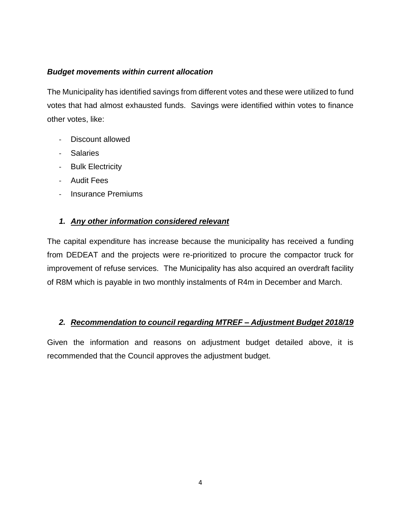## *Budget movements within current allocation*

The Municipality has identified savings from different votes and these were utilized to fund votes that had almost exhausted funds. Savings were identified within votes to finance other votes, like:

- Discount allowed
- Salaries
- Bulk Electricity
- Audit Fees
- Insurance Premiums

## *1. Any other information considered relevant*

The capital expenditure has increase because the municipality has received a funding from DEDEAT and the projects were re-prioritized to procure the compactor truck for improvement of refuse services. The Municipality has also acquired an overdraft facility of R8M which is payable in two monthly instalments of R4m in December and March.

# *2. Recommendation to council regarding MTREF – Adjustment Budget 2018/19*

Given the information and reasons on adjustment budget detailed above, it is recommended that the Council approves the adjustment budget.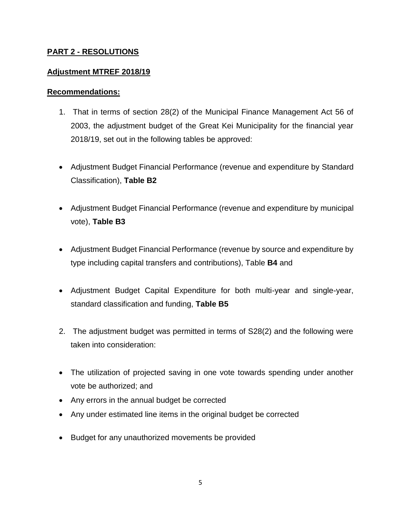## **PART 2 - RESOLUTIONS**

#### **Adjustment MTREF 2018/19**

#### **Recommendations:**

- 1. That in terms of section 28(2) of the Municipal Finance Management Act 56 of 2003, the adjustment budget of the Great Kei Municipality for the financial year 2018/19, set out in the following tables be approved:
- Adjustment Budget Financial Performance (revenue and expenditure by Standard Classification), **Table B2**
- Adjustment Budget Financial Performance (revenue and expenditure by municipal vote), **Table B3**
- Adjustment Budget Financial Performance (revenue by source and expenditure by type including capital transfers and contributions), Table **B4** and
- Adjustment Budget Capital Expenditure for both multi-year and single-year, standard classification and funding, **Table B5**
- 2. The adjustment budget was permitted in terms of S28(2) and the following were taken into consideration:
- The utilization of projected saving in one vote towards spending under another vote be authorized; and
- Any errors in the annual budget be corrected
- Any under estimated line items in the original budget be corrected
- Budget for any unauthorized movements be provided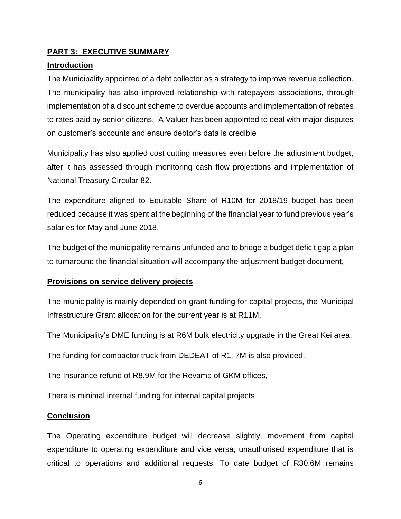## **PART 3: EXECUTIVE SUMMARY**

#### **Introduction**

The Municipality appointed of a debt collector as a strategy to improve revenue collection. The municipality has also improved relationship with ratepayers associations, through implementation of a discount scheme to overdue accounts and implementation of rebates to rates paid by senior citizens. A Valuer has been appointed to deal with major disputes on customer's accounts and ensure debtor's data is credible

Municipality has also applied cost cutting measures even before the adjustment budget, after it has assessed through monitoring cash flow projections and implementation of National Treasury Circular 82.

The expenditure aligned to Equitable Share of R10M for 2018/19 budget has been reduced because it was spent at the beginning of the financial year to fund previous year's salaries for May and June 2018.

The budget of the municipality remains unfunded and to bridge a budget deficit gap a plan to turnaround the financial situation will accompany the adjustment budget document,

#### **Provisions on service delivery projects**

The municipality is mainly depended on grant funding for capital projects, the Municipal Infrastructure Grant allocation for the current year is at R11M.

The Municipality's DME funding is at R6M bulk electricity upgrade in the Great Kei area.

The funding for compactor truck from DEDEAT of R1, 7M is also provided.

The Insurance refund of R8,9M for the Revamp of GKM offices,

There is minimal internal funding for internal capital projects

#### **Conclusion**

The Operating expenditure budget will decrease slightly, movement from capital expenditure to operating expenditure and vice versa, unauthorised expenditure that is critical to operations and additional requests. To date budget of R30.6M remains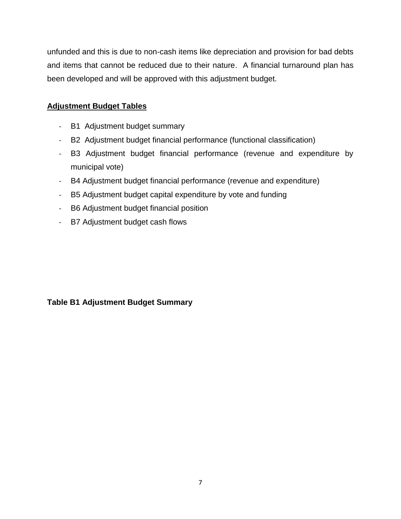unfunded and this is due to non-cash items like depreciation and provision for bad debts and items that cannot be reduced due to their nature. A financial turnaround plan has been developed and will be approved with this adjustment budget.

# **Adjustment Budget Tables**

- B1 Adjustment budget summary
- B2 Adjustment budget financial performance (functional classification)
- B3 Adjustment budget financial performance (revenue and expenditure by municipal vote)
- B4 Adjustment budget financial performance (revenue and expenditure)
- B5 Adjustment budget capital expenditure by vote and funding
- B6 Adjustment budget financial position
- B7 Adjustment budget cash flows

# **Table B1 Adjustment Budget Summary**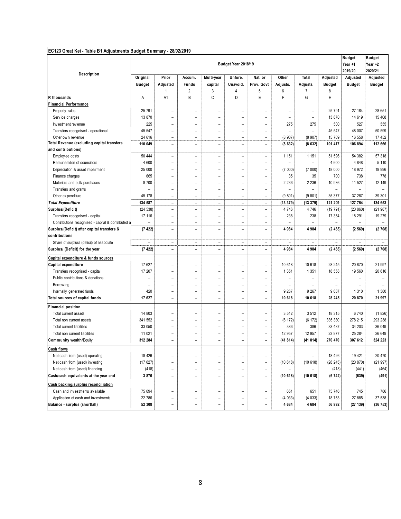#### **EC123 Great Kei - Table B1 Adjustments Budget Summary - 28/02/2019**

|                                                    | Budget Year 2018/19       |                          |                          |                          |                          |                          |                          |                          |                          | <b>Budget</b><br>Year +1 | Budget<br>Year +2 |
|----------------------------------------------------|---------------------------|--------------------------|--------------------------|--------------------------|--------------------------|--------------------------|--------------------------|--------------------------|--------------------------|--------------------------|-------------------|
|                                                    |                           |                          |                          |                          |                          |                          |                          |                          |                          | 2019/20                  | 2020/21           |
| Description                                        |                           | Prior                    | Accum.                   | Multi-year               | Unfore.                  | Nat. or                  | Other                    | Total                    | Adjusted                 |                          | Adjusted          |
|                                                    | Original<br><b>Budget</b> | Adjusted                 | <b>Funds</b>             | capital                  | Unavoid.                 | Prov. Govt               | Adjusts.                 | Adjusts.                 | <b>Budget</b>            | Adjusted<br>Budget       | <b>Budget</b>     |
|                                                    |                           | 1                        | 2                        | 3                        | 4                        | 5                        | 6                        | 7                        | 8                        |                          |                   |
| R thousands                                        | Α                         | A <sub>1</sub>           | B                        | C                        | D                        | E                        | F                        | G                        | Η                        |                          |                   |
| <b>Financial Performance</b>                       |                           |                          |                          |                          |                          |                          |                          |                          |                          |                          |                   |
| Property rates                                     | 25 791                    | $\overline{\phantom{a}}$ |                          | $\overline{a}$           | $\qquad \qquad -$        | $\overline{a}$           | $\qquad \qquad -$        | $\overline{\phantom{a}}$ | 25 791                   | 27 184                   | 28 651            |
| Service charges                                    | 13 870                    | $\overline{\phantom{0}}$ |                          | $\overline{\phantom{0}}$ | $\overline{\phantom{0}}$ | $\overline{\phantom{0}}$ | $\overline{\phantom{a}}$ | $\overline{\phantom{0}}$ | 13 870                   | 14 619                   | 15 408            |
| Investment revenue                                 | 225                       | $\overline{\phantom{0}}$ | $\overline{\phantom{0}}$ | $\overline{\phantom{a}}$ | $\overline{\phantom{0}}$ | $\overline{\phantom{a}}$ | 275                      | 275                      | 500                      | 527                      | 555               |
| Transfers recognised - operational                 | 45 547                    | $\overline{\phantom{m}}$ | $\overline{\phantom{0}}$ | $\overline{\phantom{a}}$ | $\overline{\phantom{0}}$ | $\overline{\phantom{a}}$ | $\overline{\phantom{a}}$ | $\overline{\phantom{a}}$ | 45 547                   | 48 007                   | 50 599            |
| Other own revenue                                  | 24 616                    | $\overline{\phantom{0}}$ | $\overline{\phantom{0}}$ | $\overline{a}$           | $\overline{\phantom{0}}$ |                          | (8907)                   | (8907)                   | 15 709                   | 16 558                   | 17 452            |
| Total Revenue (excluding capital transfers         | 110 049                   | $\overline{\phantom{0}}$ | $\overline{a}$           | $\overline{a}$           | $\overline{a}$           | $\overline{\phantom{0}}$ | (8632)                   | (8632)                   | 101 417                  | 106 894                  | 112 666           |
| and contributions)                                 |                           |                          |                          |                          |                          |                          |                          |                          |                          |                          |                   |
| Employee costs                                     | 50 444                    | $\overline{\phantom{0}}$ | $\overline{\phantom{0}}$ | $\overline{\phantom{0}}$ | $\overline{\phantom{0}}$ | $\overline{\phantom{a}}$ | 1 1 5 1                  | 1 1 5 1                  | 51 596                   | 54 382                   | 57 318            |
| Remuneration of councillors                        | 4 600                     | $\overline{\phantom{0}}$ | $\overline{\phantom{0}}$ | $\overline{a}$           | $\overline{\phantom{0}}$ | $\overline{\phantom{0}}$ | $\qquad \qquad -$        | $\overline{\phantom{0}}$ | 4 600                    | 4 8 4 8                  | 5 1 1 0           |
| Depreciation & asset impairment                    | 25 000                    | $\overline{\phantom{a}}$ |                          | $\overline{a}$           | $\qquad \qquad -$        | Ĭ.                       | (7000)                   | (7000)                   | 18 000                   | 18 972                   | 19 996            |
| Finance charges                                    | 665                       | $\overline{\phantom{0}}$ | $\overline{\phantom{0}}$ | ۰                        | $\overline{\phantom{0}}$ | $\overline{\phantom{0}}$ | 35                       | 35                       | 700                      | 738                      | 778               |
| Materials and bulk purchases                       | 8700                      | $\overline{\phantom{0}}$ | $\overline{\phantom{0}}$ | $\overline{a}$           | $\overline{\phantom{0}}$ | $\overline{\phantom{0}}$ | 2 2 3 6                  | 2 2 3 6                  | 10 936                   | 11 527                   | 12 149            |
| Transfers and grants                               |                           | $\overline{\phantom{a}}$ | $\qquad \qquad -$        |                          | $\overline{\phantom{0}}$ | $\overline{\phantom{a}}$ | $\overline{\phantom{a}}$ | $\overline{\phantom{a}}$ | $\qquad \qquad -$        | $\overline{\phantom{a}}$ |                   |
| Other expenditure                                  | 45 178                    | $\overline{\phantom{0}}$ | $\overline{\phantom{0}}$ | $\overline{a}$           | $\overline{\phantom{0}}$ | $\overline{\phantom{a}}$ | (9801)                   | (9801)                   | 35 377                   | 37 287                   | 39 301            |
| <b>Total Expenditure</b>                           | 134 587                   | $\overline{\phantom{0}}$ | $\overline{\phantom{0}}$ | $\overline{\phantom{a}}$ | $\overline{\phantom{0}}$ | $\overline{\phantom{a}}$ | (13 379)                 | (13 379)                 | 121 209                  | 127 754                  | 134 653           |
| Surplus/(Deficit)                                  | (24538)                   | $\overline{\phantom{0}}$ | $\overline{\phantom{0}}$ | $\overline{\phantom{0}}$ | $\overline{\phantom{0}}$ | $\overline{\phantom{a}}$ | 4 7 4 6                  | 4746                     | (19791)                  | (20 860)                 | (21987)           |
| Transfers recognised - capital                     | 17 116                    | $\overline{\phantom{0}}$ | $\overline{\phantom{0}}$ | $\overline{\phantom{0}}$ | $\overline{\phantom{0}}$ | $\overline{\phantom{a}}$ | 238                      | 238                      | 17 354                   | 18 291                   | 19 279            |
| Contributions recognised - capital & contributed a |                           | $\overline{\phantom{0}}$ | $\overline{\phantom{0}}$ | $\overline{\phantom{0}}$ | $\overline{\phantom{0}}$ | $\overline{\phantom{0}}$ | $\overline{a}$           | $\overline{\phantom{0}}$ |                          | $\overline{\phantom{a}}$ |                   |
| Surplus/(Deficit) after capital transfers &        | (7422)                    | $\overline{\phantom{a}}$ | $\overline{\phantom{0}}$ | $\overline{\phantom{a}}$ | $\overline{\phantom{0}}$ | $\overline{\phantom{a}}$ | 4 9 8 4                  | 4984                     | (2438)                   | (2 569)                  | (2708)            |
| contributions                                      |                           |                          |                          |                          |                          |                          |                          |                          |                          |                          |                   |
| Share of surplus/ (deficit) of associate           |                           | $\overline{\phantom{a}}$ | $\qquad \qquad -$        | $\overline{\phantom{a}}$ | $\qquad \qquad -$        | $\overline{\phantom{a}}$ | $\overline{\phantom{a}}$ | $\overline{\phantom{0}}$ |                          |                          |                   |
| Surplus/ (Deficit) for the year                    | (7422)                    | $\overline{\phantom{a}}$ | $\overline{\phantom{0}}$ | $\qquad \qquad -$        | $\overline{\phantom{0}}$ | $\overline{\phantom{a}}$ | 4 9 8 4                  | 4984                     | (2438)                   | (2569)                   | (2708)            |
| Capital expenditure & funds sources                |                           |                          |                          |                          |                          |                          |                          |                          |                          |                          |                   |
| Capital expenditure                                | 17 627                    | $\overline{\phantom{m}}$ | $\overline{\phantom{0}}$ | $\overline{\phantom{0}}$ | $\overline{\phantom{0}}$ | $\overline{\phantom{a}}$ | 10 618                   | 10 618                   | 28 245                   | 20 870                   | 21 997            |
| Transfers recognised - capital                     | 17 207                    | $\overline{\phantom{0}}$ |                          | $\overline{a}$           | $\overline{\phantom{0}}$ | $\overline{\phantom{0}}$ | 1 3 5 1                  | 1 3 5 1                  | 18 558                   | 19 560                   | 20 616            |
| Public contributions & donations                   | $\overline{\phantom{0}}$  | $\overline{\phantom{0}}$ | $\overline{\phantom{0}}$ | $\overline{\phantom{0}}$ | $\overline{\phantom{0}}$ | $\overline{\phantom{a}}$ | $\overline{\phantom{a}}$ | $\overline{\phantom{a}}$ | $\overline{\phantom{0}}$ | $\overline{\phantom{0}}$ |                   |
| Borrow ing                                         |                           | $\overline{\phantom{0}}$ | $\overline{\phantom{0}}$ | $\overline{\phantom{0}}$ | $\overline{\phantom{0}}$ | $\overline{\phantom{0}}$ | $\overline{\phantom{a}}$ | $\overline{\phantom{a}}$ | $\qquad \qquad -$        | $\overline{\phantom{a}}$ |                   |
| Internally generated funds                         | 420                       | Ē,                       |                          | -                        |                          | $\overline{\phantom{0}}$ | 9 2 6 7                  | 9 2 6 7                  | 9687                     | 1 3 1 0                  | 1 3 8 0           |
| Total sources of capital funds                     | 17 627                    | $\overline{\phantom{0}}$ | $\overline{\phantom{0}}$ | $\overline{a}$           | $\overline{\phantom{0}}$ | $\overline{\phantom{0}}$ | 10 618                   | 10 618                   | 28 245                   | 20 870                   | 21 997            |
| <b>Financial position</b>                          |                           |                          |                          |                          |                          |                          |                          |                          |                          |                          |                   |
| Total current assets                               | 14 803                    | $\overline{\phantom{0}}$ |                          |                          |                          | $\overline{\phantom{0}}$ | 3512                     | 3512                     | 18 315                   | 6 740                    | (1826)            |
| Total non current assets                           | 341 552                   | $\overline{\phantom{0}}$ | $\overline{\phantom{0}}$ |                          | $\overline{\phantom{0}}$ |                          | (6172)                   | (6 172)                  | 335 380                  | 278 215                  | 293 238           |
| Total current liabilities                          | 33 050                    | $\overline{\phantom{0}}$ | $\overline{\phantom{0}}$ | $\overline{a}$           | $\overline{\phantom{0}}$ | $\overline{\phantom{0}}$ | 386                      | 386                      | 33 437                   | 34 203                   | 36 049            |
| Total non current liabilities                      | 11 021                    | $\overline{\phantom{0}}$ |                          | ۳                        |                          | $\overline{\phantom{0}}$ | 12 957                   | 12 957                   | 23 977                   | 25 284                   | 26 649            |
| <b>Community wealth/Equity</b>                     | 312 284                   | $\overline{\phantom{0}}$ | $\overline{\phantom{0}}$ | ۰                        | $\overline{\phantom{0}}$ | $\overline{\phantom{0}}$ | (41814)                  | (41814)                  | 270 470                  | 307 612                  | 324 223           |
| <b>Cash flows</b>                                  |                           |                          |                          |                          |                          |                          |                          |                          |                          |                          |                   |
| Net cash from (used) operating                     | 18 4 26                   | $\overline{\phantom{a}}$ |                          | $\overline{\phantom{0}}$ | $\qquad \qquad$          | $\overline{\phantom{a}}$ | $\overline{\phantom{a}}$ | $\qquad \qquad -$        | 18 4 26                  | 19 4 21                  | 20 470            |
| Net cash from (used) investing                     | (17627)                   | $\overline{\phantom{a}}$ | $\qquad \qquad -$        | $\qquad \qquad -$        |                          | $\overline{\phantom{a}}$ | (10618)                  | (10618)                  | (28 245)                 | (20 870)                 | (21997)           |
| Net cash from (used) financing                     | (418)                     | $\overline{\phantom{0}}$ |                          | $\overline{a}$           |                          | $\overline{a}$           | $\overline{\phantom{a}}$ | $\qquad \qquad -$        | (418)                    | (441)                    | (464)             |
| Cash/cash equivalents at the year end              | 3 876                     | $\overline{\phantom{a}}$ | $\overline{\phantom{0}}$ | $\qquad \qquad -$        | $\overline{a}$           | $\overline{\phantom{a}}$ | (10618)                  | (10618)                  | (6742)                   | (639)                    | (491)             |
| Cash backing/surplus reconciliation                |                           |                          |                          |                          |                          |                          |                          |                          |                          |                          |                   |
| Cash and investments available                     | 75 094                    | $\overline{\phantom{0}}$ | $\overline{\phantom{0}}$ | $\overline{\phantom{0}}$ | $\overline{\phantom{0}}$ | $\overline{\phantom{a}}$ | 651                      | 651                      | 75 746                   | 745                      | 786               |
| Application of cash and investments                | 22 786                    | $\overline{\phantom{a}}$ | $\overline{\phantom{0}}$ | $\qquad \qquad -$        | $\qquad \qquad -$        | $\overline{\phantom{a}}$ | (4033)                   | (4033)                   | 18 753                   | 27 885                   | 37 538            |
| Balance - surplus (shortfall)                      | 52 308                    | $\overline{\phantom{a}}$ | $\overline{\phantom{0}}$ | -                        | $\overline{\phantom{0}}$ | -                        | 4 6 8 4                  | 4 6 8 4                  | 56 992                   | (27 139)                 | (36753)           |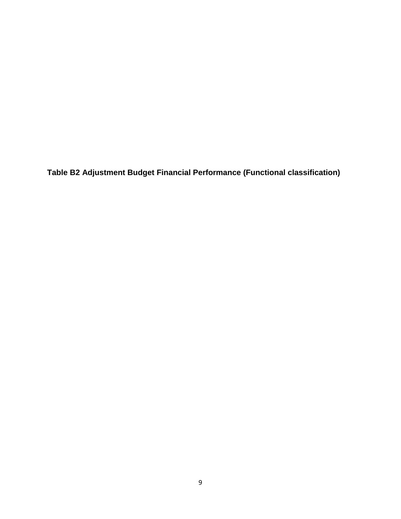**Table B2 Adjustment Budget Financial Performance (Functional classification)**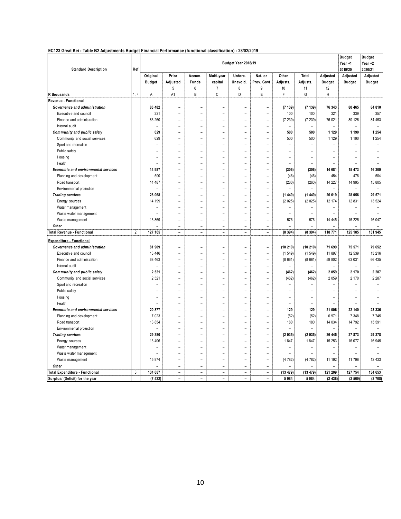| EC123 Great Kei - Table B2 Adjustments Budget Financial Performance (functional classification) - 28/02/2019 |  |  |  |  |
|--------------------------------------------------------------------------------------------------------------|--|--|--|--|
|                                                                                                              |  |  |  |  |

|                                       |                |               |                          |                          |                          |                          |                          |                          |                          |               | <b>Budget</b>            | <b>Budget</b>            |
|---------------------------------------|----------------|---------------|--------------------------|--------------------------|--------------------------|--------------------------|--------------------------|--------------------------|--------------------------|---------------|--------------------------|--------------------------|
|                                       |                |               |                          |                          |                          | Budget Year 2018/19      |                          |                          |                          |               | Year +1                  | Year +2                  |
| <b>Standard Description</b>           | Ref            |               |                          |                          |                          |                          |                          |                          |                          |               | 2019/20                  | 2020/21                  |
|                                       |                | Original      | Prior                    | Accum.                   | Multi-year               | Unfore.                  | Nat. or                  | Other                    | Total                    | Adjusted      | Adjusted                 | Adjusted                 |
|                                       |                | <b>Budget</b> | Adjusted                 | Funds                    | capital                  | Unavoid.                 | Prov. Govt               | Adjusts.                 | Adjusts.                 | <b>Budget</b> | <b>Budget</b>            | <b>Budget</b>            |
|                                       |                |               | 5                        | $\,6\,$                  | $\overline{7}$           | 8                        | 9                        | 10                       | 11                       | 12            |                          |                          |
| R thousands                           | 1, 4           | Α             | A1                       | B                        | Ċ                        | D                        | E                        | F                        | G                        | H             |                          |                          |
| Revenue - Functional                  |                |               |                          |                          |                          |                          |                          |                          |                          |               |                          |                          |
| Governance and administration         |                | 83 482        | $\overline{\phantom{a}}$ | $\overline{\phantom{0}}$ | $\overline{a}$           | $\overline{a}$           | $\overline{a}$           | (7139)                   | (7139)                   | 76 343        | 80 465                   | 84 810                   |
| Executive and council                 |                | 221           | ÷,                       | $\rightarrow$            | $\equiv$                 | $\overline{\phantom{0}}$ | $\overline{\phantom{a}}$ | 100                      | 100                      | 321           | 339                      | 357                      |
| Finance and administration            |                | 83 260        | L.                       |                          |                          |                          | $\overline{a}$           | (7239)                   | (7239)                   | 76 021        | 80 126                   | 84 453                   |
| Internal audit                        |                |               |                          |                          |                          |                          |                          | $\overline{\phantom{a}}$ |                          |               | $\equiv$                 |                          |
| Community and public safety           |                | 629           | $\overline{a}$           | $\overline{\phantom{0}}$ | $\overline{\phantom{0}}$ | ۳                        | $\overline{a}$           | 500                      | 500                      | 1 1 2 9       | 1 1 9 0                  | 1 2 5 4                  |
| Community and social services         |                | 629           | $\overline{\phantom{a}}$ | $\overline{\phantom{0}}$ | L,                       | $\overline{\phantom{0}}$ | L                        | 500                      | 500                      | 1 1 2 9       | 1 1 9 0                  | 1 2 5 4                  |
| Sport and recreation                  |                |               | $\overline{\phantom{0}}$ |                          |                          |                          |                          | $\overline{a}$           | $\overline{\phantom{0}}$ |               |                          |                          |
| Public safety                         |                |               | ÷,                       | $\rightarrow$            | ÷                        | $\overline{\phantom{0}}$ | ۳                        | $\overline{\phantom{0}}$ | ÷                        |               | L.                       |                          |
| Housing                               |                |               | ÷                        | $\overline{\phantom{a}}$ | ۳                        | L.                       | $\equiv$                 | ÷                        | ÷                        | ۳             | ÷                        |                          |
| Health                                |                |               |                          |                          |                          |                          | $\overline{a}$           | $\overline{\phantom{a}}$ | L,                       |               | L,                       |                          |
| Economic and environmental services   |                | 14 987        | $\overline{\phantom{0}}$ |                          |                          |                          |                          | (306)                    | (306)                    | 14 681        | 15 473                   | 16 309                   |
| Planning and development              |                | 500           | ÷,                       | $\rightarrow$            | $\equiv$                 | ÷,                       | ٠                        | (46)                     | (46)                     | 454           | 478                      | 504                      |
| Road transport                        |                | 14 487        | $\blacksquare$           | $\overline{\phantom{0}}$ | L,                       | $\overline{\phantom{0}}$ | $\equiv$                 | (260)                    | (260)                    | 14 227        | 14 995                   | 15 805                   |
| Environmental protection              |                |               |                          |                          |                          | L                        | $\overline{\phantom{0}}$ |                          |                          |               |                          |                          |
| <b>Trading services</b>               |                | 28 068        | $\overline{a}$           |                          | L                        | $\overline{a}$           | $\overline{\phantom{0}}$ | (1449)                   | (1449)                   | 26 619        | 28 056                   | 29 571                   |
| Energy sources                        |                | 14 199        | $\rightarrow$            | $\equiv$                 | $\equiv$                 | L.                       | $\equiv$                 | (2025)                   | (2025)                   | 12 174        | 12 831                   | 13 5 24                  |
| Water management                      |                |               |                          |                          |                          |                          |                          |                          |                          |               |                          |                          |
| Waste water management                |                |               | ÷,                       |                          |                          |                          |                          | ÷,                       |                          |               |                          |                          |
| Waste management                      |                | 13 869        | $\overline{\phantom{a}}$ | L,                       | L.                       | L,                       | $\overline{\phantom{0}}$ | 576                      | 576                      | 14 445        | 15 2 25                  | 16 047                   |
| Other                                 |                |               | $\overline{\phantom{a}}$ | $\overline{\phantom{0}}$ | $\overline{\phantom{a}}$ | $\overline{\phantom{0}}$ |                          | $\overline{\phantom{a}}$ | $\overline{\phantom{0}}$ |               | $\overline{\phantom{0}}$ |                          |
| <b>Total Revenue - Functional</b>     | $\overline{2}$ | 127 165       | $\overline{\phantom{a}}$ | $\overline{a}$           | $\blacksquare$           | $\overline{a}$           | $\equiv$                 | (8394)                   | (8394)                   | 118 771       | 125 185                  | 131 945                  |
|                                       |                |               |                          |                          |                          |                          |                          |                          |                          |               |                          |                          |
| <b>Expenditure - Functional</b>       |                |               |                          |                          |                          |                          |                          |                          |                          |               |                          |                          |
| Governance and administration         |                | 81 909        | $\overline{\phantom{a}}$ | $\overline{\phantom{0}}$ | $\overline{\phantom{0}}$ | $\overline{a}$           | $\overline{a}$           | (10210)                  | (10210)                  | 71 699        | 75 571                   | 79 652                   |
| Executive and council                 |                | 13 4 46       | $\overline{a}$           |                          |                          |                          | $\overline{\phantom{0}}$ | (1549)                   | (1549)                   | 11 897        | 12 539                   | 13 216                   |
| Finance and administration            |                | 68 463        | L,                       |                          |                          |                          |                          | (8661)                   | (8661)                   | 59 802        | 63 031                   | 66 435                   |
| Internal audit                        |                |               | $\overline{a}$           | $\overline{a}$           | L.                       | L                        | L                        | $\overline{\phantom{a}}$ | L,                       | L,            | $\overline{\phantom{a}}$ | $\overline{\phantom{a}}$ |
| Community and public safety           |                | 2 5 2 1       | $\overline{\phantom{a}}$ | $\overline{\phantom{0}}$ | ۰                        | ۳                        | $\overline{\phantom{0}}$ | (462)                    | (462)                    | 2 0 5 9       | 2 170                    | 2 2 8 7                  |
| Community and social services         |                | 2 5 21        | $\overline{\phantom{a}}$ | $\overline{\phantom{0}}$ | L.                       | $\overline{\phantom{0}}$ | $\overline{\phantom{0}}$ | (462)                    | (462)                    | 2 0 5 9       | 2 170                    | 2 2 8 7                  |
| Sport and recreation                  |                |               |                          |                          |                          |                          |                          |                          |                          |               |                          |                          |
| Public safety                         |                |               | $\overline{a}$           |                          | L.                       | L,                       | $\equiv$                 | L.                       | ÷                        |               | L.                       |                          |
| Housing                               |                |               | $\rightarrow$            |                          | L.                       | $\overline{\phantom{0}}$ | $\equiv$                 | $\overline{\phantom{a}}$ | $\overline{\phantom{0}}$ | -             | $\overline{\phantom{0}}$ |                          |
| Health                                |                |               | L.                       |                          | L.                       | L,                       | $\overline{a}$           | $\overline{a}$           | L,                       |               | L.                       |                          |
| Economic and environmental services   |                | 20 877        | $\overline{\phantom{0}}$ |                          | L,                       | $\overline{a}$           | $\overline{a}$           | 129                      | 129                      | 21 006        | 22 140                   | 23 336                   |
| Planning and development              |                | 7 0 23        | $\overline{a}$           | L.                       | L.                       | ÷                        | $\overline{a}$           | (52)                     | (52)                     | 6 9 7 1       | 7 3 4 8                  | 7745                     |
| Road transport                        |                | 13 854        | $\overline{\phantom{a}}$ | $\overline{\phantom{0}}$ | $\overline{\phantom{0}}$ | $\overline{\phantom{0}}$ | $\equiv$                 | 180                      | 180                      | 14 034        | 14 792                   | 15 591                   |
| Environmental protection              |                |               | $\overline{\phantom{0}}$ | ۰                        | ۳                        | ۳                        | $\qquad \qquad -$        | $\blacksquare$           | L,                       |               | $\equiv$                 |                          |
| <b>Trading services</b>               |                | 29 380        | $\overline{a}$           |                          | L,                       | -                        | $\overline{a}$           | (2935)                   | (2935)                   | 26 445        | 27 873                   | 29 378                   |
| Energy sources                        |                | 13 4 06       | ÷                        | ۳                        | ۳                        | L.                       | $\equiv$                 | 1847                     | 1847                     | 15 253        | 16 077                   | 16 945                   |
| Water management                      |                |               | L.                       |                          | L.                       | L,                       | L,                       |                          |                          |               | ÷                        |                          |
| Waste water management                |                |               |                          |                          |                          |                          |                          | $\overline{\phantom{a}}$ |                          |               |                          |                          |
| Waste management                      |                | 15 974        | $\overline{a}$           | L.                       | L.                       | L.                       | $\equiv$                 | (4782)                   | (4782)                   | 11 192        | 11 796                   | 12 433                   |
| Other                                 |                |               | $\overline{\phantom{a}}$ | $\overline{\phantom{a}}$ | $\overline{\phantom{a}}$ | $\qquad \qquad -$        | $\overline{\phantom{a}}$ |                          |                          |               |                          |                          |
| <b>Total Expenditure - Functional</b> | $\mathbf{3}$   | 134 687       | $\overline{\phantom{a}}$ | $\overline{a}$           | $\overline{a}$           | $\overline{a}$           | $\overline{a}$           | (13 479)                 | (13 479)                 | 121 209       | 127 754                  | 134 653                  |
| Surplus/ (Deficit) for the year       |                | (7522)        | $\overline{a}$           | $\overline{a}$           | $\overline{a}$           | $\overline{a}$           | $\overline{\phantom{0}}$ | 5 0 8 4                  | 5 0 8 4                  | (2438)        | (2569)                   | (2708)                   |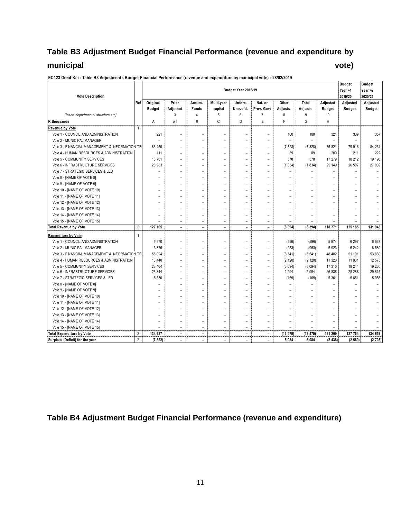# **Table B3 Adjustment Budget Financial Performance (revenue and expenditure by municipal vote)**

| <b>Vote Description</b>                        |                | Budget Year 2018/19      |                          |                          |                          |                          |                          |                          |                          |                          | <b>Budget</b><br>Year +1<br>2019/20 | <b>Budget</b><br>Year $+2$<br>2020/21 |
|------------------------------------------------|----------------|--------------------------|--------------------------|--------------------------|--------------------------|--------------------------|--------------------------|--------------------------|--------------------------|--------------------------|-------------------------------------|---------------------------------------|
|                                                | Ref            | Original                 | Prior                    | Accum.                   | Multi-year               | Unfore.                  | Nat. or                  | Other                    | Total                    | Adjusted                 | Adjusted                            | Adjusted                              |
|                                                |                | <b>Budget</b>            | Adjusted                 | Funds                    | capital                  | Unavoid.                 | Prov. Govt               | Adjusts.                 | Adjusts.                 | <b>Budget</b>            | <b>Budget</b>                       | <b>Budget</b>                         |
| [Insert departmental structure etc]            |                |                          | 3                        | 4                        | 5                        | 6                        | $\overline{7}$           | 8                        | 9                        | 10                       |                                     |                                       |
| <b>R</b> thousands                             |                | A                        | A1                       | B                        | C                        | D                        | E                        | F                        | G                        | H                        |                                     |                                       |
| <b>Revenue by Vote</b>                         | $\mathbf{1}$   |                          |                          |                          |                          |                          |                          |                          |                          |                          |                                     |                                       |
| Vote 1 - COUNCIL AND ADMINISTRATION            |                | 221                      | $\overline{a}$           |                          |                          | $\overline{\phantom{0}}$ | Ē,                       | 100                      | 100                      | 321                      | 339                                 | 357                                   |
| Vote 2 - MUNICIPAL MANAGER                     |                | $\overline{\phantom{a}}$ | $\overline{\phantom{0}}$ | ۰                        | ۰                        | ۰                        | ۰                        |                          | $\qquad \qquad -$        |                          |                                     |                                       |
| Vote 3 - FINANCIAL MANAGEMENT & INFORMATION TE |                | 83 150                   | $\overline{a}$           |                          |                          |                          | $\overline{\phantom{0}}$ | (7328)                   | (7328)                   | 75 821                   | 79 916                              | 84 231                                |
| Vote 4 - HUMAN RESOURCES & ADMINISTRATION      |                | 111                      | $\overline{\phantom{0}}$ | $\overline{\phantom{0}}$ | $\overline{\phantom{0}}$ | $\overline{\phantom{0}}$ | $\overline{\phantom{0}}$ | 89                       | 89                       | 200                      | 211                                 | 222                                   |
| Vote 5 - COMMUNITY SERVICES                    |                | 16 701                   | L,                       | ۰                        |                          | ۰                        | $\overline{\phantom{0}}$ | 578                      | 578                      | 17 279                   | 18 212                              | 19 19 6                               |
| Vote 6 - INFRASTRUCTURE SERVICES               |                | 26 983                   | $\overline{\phantom{0}}$ | $\rightarrow$            | $\rightarrow$            | $\overline{\phantom{0}}$ | L.                       | (1834)                   | (1834)                   | 25 149                   | 26 507                              | 27 939                                |
| Vote 7 - STRATEGIC SERVICES & LED              |                |                          | L,                       | L                        | $\overline{\phantom{0}}$ |                          | L.                       | L,                       | L,                       | $\overline{\phantom{0}}$ | $\overline{\phantom{0}}$            |                                       |
| Vote 8 - [NAME OF VOTE 8]                      |                |                          | $\overline{\phantom{0}}$ | $\overline{\phantom{0}}$ | $\overline{\phantom{0}}$ | $\overline{\phantom{0}}$ | $\overline{\phantom{0}}$ | $\overline{\phantom{0}}$ |                          | $\overline{\phantom{0}}$ |                                     |                                       |
| Vote 9 - [NAME OF VOTE 9]                      |                |                          | $\overline{\phantom{0}}$ |                          |                          |                          | ۰                        | $\overline{\phantom{0}}$ |                          | $\overline{\phantom{a}}$ |                                     |                                       |
| Vote 10 - [NAME OF VOTE 10]                    |                |                          | $\overline{a}$           | L                        | $\overline{\phantom{0}}$ | Ē,                       | $\overline{\phantom{0}}$ | $\overline{\phantom{0}}$ |                          | $\qquad \qquad -$        | $\overline{\phantom{0}}$            |                                       |
| Vote 11 - [NAME OF VOTE 11]                    |                |                          | $\overline{\phantom{0}}$ | ۰                        | $\overline{\phantom{a}}$ | ۰                        | $\overline{\phantom{0}}$ | ۳                        | $\overline{\phantom{0}}$ | $\overline{\phantom{0}}$ | -                                   |                                       |
| Vote 12 - [NAME OF VOTE 12]                    |                |                          | $\equiv$                 | $\overline{\phantom{0}}$ | $\equiv$                 | ٠                        | $\overline{\phantom{0}}$ | $\overline{\phantom{0}}$ | $\equiv$                 | $\overline{\phantom{0}}$ | -                                   |                                       |
| Vote 13 - [NAME OF VOTE 13]                    |                |                          | $\overline{\phantom{0}}$ | L                        |                          |                          | $\overline{\phantom{0}}$ | $\overline{\phantom{0}}$ |                          | $\overline{\phantom{a}}$ |                                     |                                       |
| Vote 14 - [NAME OF VOTE 14]                    |                |                          | $\overline{\phantom{0}}$ | $\overline{a}$           | $\overline{\phantom{0}}$ | Ē,                       | $\overline{\phantom{0}}$ | $\overline{\phantom{0}}$ | $\overline{\phantom{0}}$ | $\qquad \qquad -$        | $\overline{\phantom{0}}$            |                                       |
| Vote 15 - [NAME OF VOTE 15]                    |                |                          | $\overline{\phantom{0}}$ | $\overline{\phantom{0}}$ | $\overline{\phantom{0}}$ | $\overline{\phantom{a}}$ | $\overline{\phantom{0}}$ | $\overline{\phantom{0}}$ | $\overline{\phantom{0}}$ | $\equiv$                 | $\overline{\phantom{0}}$            |                                       |
| <b>Total Revenue by Vote</b>                   | $\overline{2}$ | 127 165                  | $\overline{\phantom{0}}$ | $\overline{\phantom{a}}$ | $\overline{\phantom{0}}$ | $\qquad \qquad -$        | $\overline{\phantom{a}}$ | (8394)                   | (8394)                   | 118 771                  | 125 185                             | 131 945                               |
| <b>Expenditure by Vote</b>                     | $\mathbf{1}$   |                          |                          |                          |                          |                          |                          |                          |                          |                          |                                     |                                       |
| Vote 1 - COUNCIL AND ADMINISTRATION            |                | 6 570                    | $\overline{\phantom{0}}$ | $\overline{\phantom{0}}$ | $\overline{\phantom{0}}$ | $\overline{\phantom{a}}$ | $\overline{\phantom{0}}$ | (596)                    | (596)                    | 5974                     | 6 297                               | 6 637                                 |
| Vote 2 - MUNICIPAL MANAGER                     |                | 6876                     | $\overline{\phantom{0}}$ | $\overline{\phantom{0}}$ | $\overline{\phantom{0}}$ | $\overline{\phantom{a}}$ | $\overline{\phantom{0}}$ | (953)                    | (953)                    | 5923                     | 6 2 4 2                             | 6 580                                 |
| Vote 3 - FINANCIAL MANAGEMENT & INFORMATION TE |                | 55 024                   | $\equiv$                 | $\rightarrow$            | $\overline{\phantom{0}}$ | ۰                        | $\overline{\phantom{0}}$ | (6541)                   | (6541)                   | 48 4 82                  | 51 101                              | 53 860                                |
| Vote 4 - HUMAN RESOURCES & ADMINISTRATION      |                | 13 4 40                  | ۰                        | ۰                        | $\overline{\phantom{a}}$ | ۰                        | ۰                        | (2 120)                  | (2 120)                  | 11 3 20                  | 11 931                              | 12 575                                |
| Vote 5 - COMMUNITY SERVICES                    |                | 23 404                   | $\equiv$                 | $\overline{\phantom{0}}$ | ۰                        | ۰                        | $\overline{a}$           | (6094)                   | (6094)                   | 17 310                   | 18 244                              | 19 230                                |
| Vote 6 - INFRASTRUCTURE SERVICES               |                | 23 844                   | L,                       | ۰                        | $\overline{\phantom{0}}$ | ۰                        | $\overline{\phantom{0}}$ | 2 9 9 4                  | 2 9 9 4                  | 26 838                   | 28 28 8                             | 29 815                                |
| Vote 7 - STRATEGIC SERVICES & LED              |                | 5 5 3 0                  | $\overline{\phantom{0}}$ | $\overline{\phantom{a}}$ | $\rightarrow$            | $\overline{\phantom{a}}$ | $\overline{\phantom{0}}$ | (169)                    | (169)                    | 5 3 6 1                  | 5 6 5 1                             | 5 9 5 6                               |
| Vote 8 - [NAME OF VOTE 8]                      |                |                          | ۰                        | $\overline{\phantom{0}}$ | $\overline{\phantom{a}}$ | ۰                        | ۰                        | $\qquad \qquad -$        | $\overline{\phantom{0}}$ | $\overline{\phantom{0}}$ |                                     |                                       |
| Vote 9 - [NAME OF VOTE 9]                      |                |                          | ۰                        | $\overline{\phantom{a}}$ | $\overline{\phantom{a}}$ | ۰                        | $\overline{\phantom{a}}$ | $\overline{\phantom{0}}$ |                          | $\overline{\phantom{0}}$ |                                     |                                       |
| Vote 10 - [NAME OF VOTE 10]                    |                |                          | $\overline{\phantom{0}}$ | $\overline{\phantom{a}}$ | $\overline{\phantom{a}}$ | ۰                        | $\overline{\phantom{a}}$ | $\overline{\phantom{0}}$ | $\overline{\phantom{0}}$ | $\overline{\phantom{a}}$ | $\overline{\phantom{0}}$            |                                       |
| Vote 11 - [NAME OF VOTE 11]                    |                |                          | ۳                        | $\overline{\phantom{0}}$ |                          |                          | $\rightarrow$            | ۳                        | $\equiv$                 | $\equiv$                 | $\overline{\phantom{0}}$            |                                       |
| Vote 12 - [NAME OF VOTE 12]                    |                |                          | L.                       | $\rightarrow$            | $\rightarrow$            | $\overline{\phantom{a}}$ | $\rightarrow$            | L.                       | $\equiv$                 | $\equiv$                 | $\overline{\phantom{0}}$            |                                       |
| Vote 13 - [NAME OF VOTE 13]                    |                |                          | ۳                        | $\rightarrow$            | $\rightarrow$            |                          | $\rightarrow$            | ۳                        | $\equiv$                 | $\equiv$                 | $\overline{\phantom{0}}$            |                                       |
| Vote 14 - [NAME OF VOTE 14]                    |                | ۰                        | $\overline{\phantom{0}}$ | $\rightarrow$            | $\overline{\phantom{a}}$ | ۰                        | $\overline{\phantom{a}}$ | ۳                        | $\equiv$                 | $\overline{\phantom{0}}$ | $\overline{\phantom{0}}$            |                                       |
| Vote 15 - [NAME OF VOTE 15]                    |                |                          | ۰                        | $\overline{\phantom{a}}$ |                          |                          |                          |                          |                          |                          |                                     |                                       |
| <b>Total Expenditure by Vote</b>               | $\overline{2}$ | 134 687                  | $\overline{\phantom{0}}$ | $\overline{\phantom{a}}$ | -                        | $\overline{\phantom{0}}$ | $\overline{a}$           | (13 479)                 | (13 479)                 | 121 209                  | 127 754                             | 134 653                               |
| Surplus/ (Deficit) for the year                | $\overline{2}$ | (7522)                   | ۰                        |                          |                          | $\overline{\phantom{0}}$ | $\overline{\phantom{0}}$ | 5 0 8 4                  | 5 0 8 4                  | (2438)                   | (2569)                              | (2708)                                |

**EC123 Great Kei - Table B3 Adjustments Budget Financial Performance (revenue and expenditure by municipal vote) - 28/02/2019**

## **Table B4 Adjustment Budget Financial Performance (revenue and expenditure)**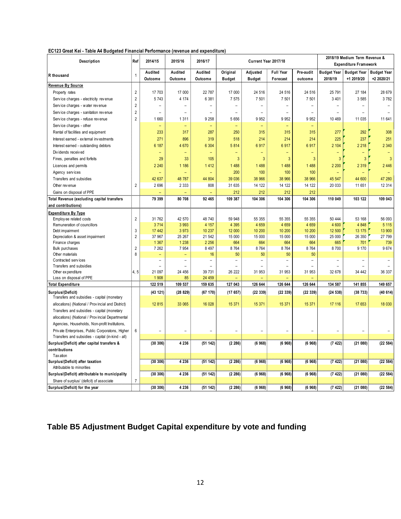|  | EC123 Great Kei - Table A4 Budgeted Financial Performance (revenue and expenditure) |
|--|-------------------------------------------------------------------------------------|
|  |                                                                                     |

| Description                                       | Ref                     | 2014/15           | 2015/16                  | 2016/17                  |                          | Current Year 2017/18     |                  |                | 2018/19 Medium Term Revenue & |                          |                    |  |  |
|---------------------------------------------------|-------------------------|-------------------|--------------------------|--------------------------|--------------------------|--------------------------|------------------|----------------|-------------------------------|--------------------------|--------------------|--|--|
|                                                   |                         |                   |                          |                          |                          |                          |                  |                | <b>Expenditure Framework</b>  |                          |                    |  |  |
| R thousand                                        | $\mathbf{1}$            | Audited           | Audited                  | Audited                  | Original                 | Adjusted                 | <b>Full Year</b> | Pre-audit      | <b>Budget Year</b>            | <b>Budget Year</b>       | <b>Budget Year</b> |  |  |
|                                                   |                         | Outcome           | Outcome                  | Outcome                  | <b>Budget</b>            | <b>Budget</b>            | Forecast         | outcome        | 2018/19                       | +1 2019/20               | +2 2020/21         |  |  |
| Revenue By Source                                 |                         |                   |                          |                          |                          |                          |                  |                |                               |                          |                    |  |  |
| Property rates                                    | $\overline{2}$          | 17 703            | 17 000                   | 22 787                   | 17 000                   | 24 516                   | 24 516           | 24 516         | 25 791                        | 27 184                   | 28 679             |  |  |
| Service charges - electricity revenue             | $\overline{2}$          | 5743              | 4 174                    | 6 3 8 1                  | 7 5 7 5                  | 7 501                    | 7 501            | 7 501          | 3 4 0 1                       | 3 5 8 5                  | 3782               |  |  |
| Service charges - water revenue                   | $\overline{\mathbf{c}}$ |                   | $\overline{a}$           | $\overline{a}$           | $\overline{\phantom{0}}$ | $\overline{a}$           | $\overline{a}$   | $\overline{a}$ |                               | $\overline{a}$           |                    |  |  |
| Service charges - sanitation revenue              | $\overline{2}$          |                   |                          | $\overline{\phantom{a}}$ |                          | $\overline{a}$           |                  |                |                               |                          |                    |  |  |
| Service charges - refuse revenue                  | $\overline{2}$          | 1660              | 1 3 1 1                  | 9 2 5 8                  | 5 6 5 6                  | 9 9 5 2                  | 9 9 5 2          | 9 9 5 2        | 10 469                        | 11 035                   | 11 641             |  |  |
| Service charges - other                           |                         | $\equiv$          | $\qquad \qquad -$        | ÷                        | $\equiv$                 | $\qquad \qquad -$        | ÷                | ÷              |                               |                          |                    |  |  |
| Rental of facilities and equipment                |                         | 233               | 317                      | 287                      | 250                      | 315                      | 315              | 315            | 277                           | 292                      | 308                |  |  |
| Interest earned - external investments            |                         | 271               | 896                      | 319                      | 518                      | 214                      | 214              | 214            | 225                           | 237                      | 251                |  |  |
| Interest earned - outstanding debtors             |                         | 6 187             | 4 6 7 0                  | 6 3 0 4                  | 5814                     | 6917                     | 6917             | 6917           | 2 104                         | 2 2 1 8                  | 2 3 4 0            |  |  |
| Dividends received                                |                         |                   | $\overline{\phantom{0}}$ | ÷                        |                          | $\overline{\phantom{0}}$ | ۳                | ÷              |                               |                          | ÷                  |  |  |
| Fines, penalties and forfeits                     |                         | 29                | 33                       | 105                      | 3                        | 3                        | 3                | 3              | 3                             | 3                        | $\overline{3}$     |  |  |
| Licences and permits                              |                         | 2 2 4 0           | 1 1 8 6                  | 1 4 1 2                  | 1 4 8 8                  | 1 4 8 8                  | 1 4 8 8          | 1 4 8 8        | 2 2 0 0                       | 2 3 1 9                  | 2 4 4 6            |  |  |
| Agency services                                   |                         |                   | ۳                        | $\overline{\phantom{a}}$ | 200                      | 100                      | 100              | 100            |                               |                          |                    |  |  |
| Transfers and subsidies                           |                         | 42 637            | 48 787                   | 44 804                   | 39 036                   | 38 966                   | 38 966           | 38 966         | 45 547                        | 44 600                   | 47 280             |  |  |
| Other revenue                                     | $\overline{2}$          | 2696              | 2 3 3 3                  | 808                      | 31 635                   | 14 122                   | 14 122           | 14 122         | 20 033                        | 11 651                   | 12 3 14            |  |  |
| Gains on disposal of PPE                          |                         |                   |                          | L.                       | 212                      | 212                      | 212              | 212            |                               |                          |                    |  |  |
| Total Revenue (excluding capital transfers        |                         | 79 399            | 80 708                   | 92 465                   | 109 387                  | 104 306                  | 104 306          | 104 306        | 110 049                       | 103 122                  | 109 043            |  |  |
| and contributions)                                |                         |                   |                          |                          |                          |                          |                  |                |                               |                          |                    |  |  |
| <b>Expenditure By Type</b>                        |                         |                   |                          |                          |                          |                          |                  |                |                               |                          |                    |  |  |
| Employ ee related costs                           | $\overline{2}$          | 31 762            | 42 570                   | 48 740                   | 59 948                   | 55 355                   | 55 355           | 55 355         | 50 444                        | 53 168                   | 56 093             |  |  |
| Remuneration of councillors                       |                         | 3 7 1 4           | 3 9 9 3                  | 4 1 5 7                  | 4 3 9 5                  | 4 6 5 9                  | 4 6 5 9          | 4 6 5 9        | 4 600                         | 4 8 4 8                  | 5 1 1 5            |  |  |
| Debt impairment                                   | 3                       | 17 442            | 3 9 7 3                  | 10 237                   | 12 000                   | 10 200                   | 10 200           | 10 200         | 12 500                        | 13 175                   | 13 900             |  |  |
| Depreciation & asset impairment                   | $\overline{2}$          | 37 967            | 25 267                   | 21 542                   | 15 000                   | 15 000                   | 15 000           | 15 000         | 25 000                        | 26 350                   | 27 799             |  |  |
| Finance charges                                   |                         | 1 3 6 7           | 1 2 3 8                  | 2 2 5 6                  | 664                      | 664                      | 664              | 664            | 665                           | 701                      | 739                |  |  |
| Bulk purchases                                    | 2                       | 7 2 6 2           | 7 9 5 4                  | 8 4 9 7                  | 8764                     | 8764                     | 8 7 6 4          | 8764           | 8700                          | 9 1 7 0                  | 9674               |  |  |
| Other materials                                   | 8                       | -                 |                          | 16                       | 50                       | 50                       | 50               | 50             |                               |                          |                    |  |  |
| Contracted services                               |                         | $\overline{a}$    | $\overline{\phantom{0}}$ | $\overline{a}$           |                          | $\overline{a}$           |                  | $\overline{a}$ |                               | $\overline{\phantom{0}}$ |                    |  |  |
| Transfers and subsidies                           |                         |                   |                          | L.                       |                          | $\overline{\phantom{0}}$ |                  |                |                               |                          |                    |  |  |
| Other expenditure                                 | 4.5                     | 21 097<br>1 9 0 8 | 24 45 6<br>85            | 39 731<br>24 459         | 26 222                   | 31 953                   | 31 953           | 31 953         | 32 678                        | 34 442                   | 36 337             |  |  |
| Loss on disposal of PPE                           |                         |                   |                          |                          |                          |                          |                  |                |                               |                          |                    |  |  |
| <b>Total Expenditure</b>                          |                         | 122 519           | 109 537                  | 159 635                  | 127 043                  | 126 644                  | 126 644          | 126 644        | 134 587                       | 141 855                  | 149 657            |  |  |
| Surplus/(Deficit)                                 |                         | (43 121)          | (28829)                  | (67 170)                 | (17657)                  | (22339)                  | (22339)          | (22339)        | (24 538)                      | (38733)                  | (40614)            |  |  |
| Transfers and subsidies - capital (monetary       |                         |                   |                          |                          |                          |                          |                  |                |                               |                          |                    |  |  |
| allocations) (National / Provincial and District) |                         | 12 815            | 33 065                   | 16 0 28                  | 15 371                   | 15 371                   | 15 371           | 15 371         | 17 116                        | 17 653                   | 18 030             |  |  |
| Transfers and subsidies - capital (monetary       |                         |                   |                          |                          |                          |                          |                  |                |                               |                          |                    |  |  |
| allocations) (National / Provincial Departmental  |                         |                   |                          |                          |                          |                          |                  |                |                               |                          |                    |  |  |
| Agencies, Households, Non-profit Institutions,    |                         |                   |                          |                          |                          |                          |                  |                |                               |                          |                    |  |  |
| Private Enterprises, Public Corporatons, Higher   | 6                       | $\qquad \qquad -$ | $\overline{\phantom{a}}$ | Ĭ.                       | $\overline{\phantom{0}}$ | $\overline{\phantom{0}}$ |                  |                |                               |                          |                    |  |  |
| Transfers and subsidies - capital (in-kind - all) |                         |                   |                          |                          |                          |                          |                  |                |                               |                          |                    |  |  |
| Surplus/(Deficit) after capital transfers &       |                         | (30306)           | 4 2 3 6                  | (51 142)                 | (2286)                   | (6968)                   | (6968)           | (6968)         | (7422)                        | (21080)                  | (22 584)           |  |  |
| contributions<br><b>Taxation</b>                  |                         |                   |                          |                          |                          |                          |                  |                |                               |                          |                    |  |  |
| Surplus/(Deficit) after taxation                  |                         | (30306)           | 4 2 3 6                  | (51142)                  | (2286)                   | (6968)                   | (6968)           | (6968)         | (7422)                        | (21080)                  | (22584)            |  |  |
| Attributable to minorities                        |                         |                   |                          |                          |                          |                          |                  |                |                               |                          |                    |  |  |
| Surplus/(Deficit) attributable to municipality    |                         | (30306)           | 4 2 3 6                  | (51142)                  | (2 286)                  | (6968)                   | (6968)           | (6968)         | (7422)                        | (21080)                  | (22 584)           |  |  |
| Share of surplus/ (deficit) of associate          | $\overline{7}$          |                   |                          |                          |                          |                          |                  |                |                               |                          |                    |  |  |
| Surplus/(Deficit) for the year                    |                         | (30306)           | 4 2 3 6                  | (51142)                  | (2286)                   | (6968)                   | (6968)           | (6968)         | (7422)                        | (21080)                  | (22 584)           |  |  |
|                                                   |                         |                   |                          |                          |                          |                          |                  |                |                               |                          |                    |  |  |

# **Table B5 Adjustment Budget Capital expenditure by vote and funding**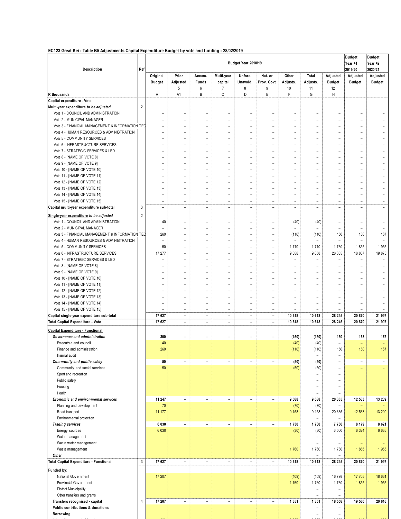#### **EC123 Great Kei - Table B5 Adjustments Capital Expenditure Budget by vote and funding - 28/02/2019**

|                                                                               |                | Budget Year 2018/19      |                                                      |                                                      |                                                      |                                                      |                                                      |                          |                                     |                                                      | <b>Budget</b><br>Year +1                             | <b>Budget</b><br>Year +2         |
|-------------------------------------------------------------------------------|----------------|--------------------------|------------------------------------------------------|------------------------------------------------------|------------------------------------------------------|------------------------------------------------------|------------------------------------------------------|--------------------------|-------------------------------------|------------------------------------------------------|------------------------------------------------------|----------------------------------|
| Description                                                                   | Ref            | Original                 | Prior                                                | Accum.                                               | Multi-year                                           | Unfore.                                              | Nat. or                                              | Other                    | Total                               | Adjusted                                             | 2019/20<br>Adjusted                                  | 2020/21<br>Adjusted              |
|                                                                               |                | <b>Budget</b>            | Adjusted                                             | Funds                                                | capital                                              | Unavoid.                                             | Prov. Govt                                           | Adjusts.                 | Adjusts.                            | <b>Budget</b>                                        | <b>Budget</b>                                        | <b>Budget</b>                    |
|                                                                               |                |                          | 5                                                    | 6                                                    | 7                                                    | 8                                                    | 9                                                    | 10                       | 11                                  | 12                                                   |                                                      |                                  |
| R thousands<br>Capital expenditure - Vote                                     |                | Α                        | A1                                                   | B                                                    | C                                                    | D                                                    | E                                                    | F                        | G                                   | н                                                    |                                                      |                                  |
| Multi-year expenditure to be adjusted                                         | $\overline{2}$ |                          |                                                      |                                                      |                                                      |                                                      |                                                      |                          |                                     |                                                      |                                                      |                                  |
| Vote 1 - COUNCIL AND ADMINISTRATION                                           |                | ۰                        | $\qquad \qquad -$                                    | -                                                    | $\overline{\phantom{0}}$                             | $\qquad \qquad$                                      | ۰                                                    | $\qquad \qquad -$        |                                     | $\overline{\phantom{0}}$                             | $\overline{\phantom{0}}$                             |                                  |
| Vote 2 - MUNICIPAL MANAGER                                                    |                | $\equiv$                 | $\equiv$                                             | $\equiv$                                             | $\rightarrow$                                        | $\equiv$                                             | $\overline{\phantom{a}}$                             | $\equiv$                 | $\equiv$                            | $\rightarrow$                                        | $\rightarrow$                                        |                                  |
| Vote 3 - FINANCIAL MANAGEMENT & INFORMATION TEO                               |                | ۳                        | $\equiv$                                             | $\equiv$                                             | $\overline{\phantom{a}}$                             | $\blacksquare$                                       | ۳                                                    |                          | $\equiv$                            | $\overline{\phantom{a}}$                             | $\overline{a}$                                       |                                  |
| Vote 4 - HUMAN RESOURCES & ADMINISTRATION<br>Vote 5 - COMMUNITY SERVICES      |                | ۰<br>$\equiv$            | ۰<br>$\equiv$                                        | $\equiv$<br>$\equiv$                                 | $\overline{\phantom{a}}$<br>$\rightarrow$            | $\blacksquare$<br>$\blacksquare$                     | ۳                                                    | ۰<br>$\equiv$            | $\equiv$                            | $\overline{\phantom{0}}$<br>$\rightarrow$            | $\overline{\phantom{0}}$<br>$\overline{\phantom{a}}$ |                                  |
| Vote 6 - INFRASTRUCTURE SERVICES                                              |                |                          | $\equiv$                                             | $\equiv$                                             | $\overline{\phantom{a}}$                             | $\blacksquare$                                       | $\overline{\phantom{a}}$                             | -                        |                                     | $\overline{\phantom{a}}$                             | $\overline{a}$                                       |                                  |
| Vote 7 - STRATEGIC SERVICES & LED                                             |                | ۰                        | ۰                                                    | ۰                                                    | $\overline{\phantom{0}}$                             | $\overline{\phantom{0}}$                             | $\overline{\phantom{0}}$                             | ۰                        |                                     | $\overline{\phantom{0}}$                             | $\overline{\phantom{0}}$                             |                                  |
| Vote 8 - [NAME OF VOTE 8]                                                     |                |                          |                                                      |                                                      | $\overline{a}$                                       |                                                      |                                                      |                          |                                     |                                                      | $\overline{a}$                                       |                                  |
| Vote 9 - [NAME OF VOTE 9]                                                     |                |                          | L,                                                   |                                                      |                                                      | $\overline{\phantom{a}}$                             |                                                      | $\overline{a}$           |                                     | $\overline{\phantom{0}}$                             | $\overline{a}$                                       |                                  |
| Vote 10 - [NAME OF VOTE 10]                                                   |                | ۰                        | $\equiv$                                             | $\equiv$                                             | $\rightarrow$                                        | $\equiv$                                             | ۰                                                    | $\equiv$                 | $\equiv$                            | $\rightarrow$                                        | $\overline{\phantom{0}}$                             |                                  |
| Vote 11 - [NAME OF VOTE 11]<br>Vote 12 - [NAME OF VOTE 12]                    |                |                          | L,                                                   |                                                      | $\overline{\phantom{0}}$<br>$\overline{\phantom{a}}$ | $\overline{\phantom{a}}$                             | $\blacksquare$                                       | ÷                        |                                     | $\overline{\phantom{0}}$<br>$\overline{\phantom{a}}$ | $\overline{\phantom{0}}$<br>$\overline{a}$           |                                  |
| Vote 13 - [NAME OF VOTE 13]                                                   |                |                          | $\equiv$                                             | $\equiv$                                             | $\rightarrow$                                        | $\equiv$                                             | ۰                                                    |                          | $\equiv$                            | $\rightarrow$                                        | $\rightarrow$                                        |                                  |
| Vote 14 - [NAME OF VOTE 14]                                                   |                | ÷,                       | $\overline{\phantom{0}}$                             | $\qquad \qquad -$                                    | $\overline{\phantom{0}}$                             | $\qquad \qquad -$                                    | $\overline{\phantom{a}}$                             | -                        |                                     | -                                                    | $\overline{a}$                                       |                                  |
| Vote 15 - [NAME OF VOTE 15]                                                   |                | $\equiv$                 | $\equiv$                                             | ÷,                                                   | $\overline{\phantom{a}}$                             | $\overline{\phantom{a}}$                             | $\overline{\phantom{0}}$                             | $\equiv$                 | ÷,                                  | $\overline{\phantom{a}}$                             | $\blacksquare$                                       |                                  |
| Capital multi-year expenditure sub-total                                      | 3              | $\overline{\phantom{0}}$ | ۰                                                    | $\overline{\phantom{0}}$                             | $\overline{\phantom{a}}$                             | $\overline{\phantom{a}}$                             | $\overline{\phantom{0}}$                             | $\overline{\phantom{a}}$ | $\overline{\phantom{0}}$            | $\overline{\phantom{0}}$                             | $\overline{\phantom{a}}$                             | $\overline{\phantom{0}}$         |
| Single-year expenditure to be adjusted                                        | $\overline{2}$ |                          |                                                      |                                                      |                                                      |                                                      |                                                      |                          |                                     |                                                      |                                                      |                                  |
| Vote 1 - COUNCIL AND ADMINISTRATION                                           |                | 40                       | $\qquad \qquad -$                                    | $\equiv$                                             | $\overline{\phantom{0}}$                             | $\blacksquare$                                       | $\overline{\phantom{a}}$                             | (40)                     | (40)                                | $\qquad \qquad -$                                    | $\overline{\phantom{m}}$                             |                                  |
| Vote 2 - MUNICIPAL MANAGER<br>Vote 3 - FINANCIAL MANAGEMENT & INFORMATION TEC |                | $\equiv$<br>260          | $\equiv$<br>$\equiv$                                 | $\equiv$<br>۳                                        | $\overline{\phantom{a}}$<br>$\overline{\phantom{a}}$ | ۰<br>$\blacksquare$                                  | ۰<br>$\overline{a}$                                  | (110)                    | ÷,<br>(110)                         | $\equiv$<br>150                                      | $\overline{a}$<br>158                                | 167                              |
| Vote 4 - HUMAN RESOURCES & ADMINISTRATION                                     |                | $\equiv$                 | -                                                    | $\equiv$                                             | $\rightarrow$                                        | $\overline{\phantom{0}}$                             | ۰                                                    | ۰                        | $\overline{\phantom{a}}$            | $\equiv$                                             | $\overline{\phantom{a}}$                             |                                  |
| Vote 5 - COMMUNITY SERVICES                                                   |                | 50                       | -                                                    | $\equiv$                                             | $\overline{\phantom{0}}$                             | $\blacksquare$                                       | $\overline{\phantom{a}}$                             | 1710                     | 1710                                | 1760                                                 | 1855                                                 | 1 9 5 5                          |
| Vote 6 - INFRASTRUCTURE SERVICES                                              |                | 17 277                   | $\equiv$                                             | $\equiv$                                             | $\rightarrow$                                        | $\blacksquare$                                       | $\blacksquare$                                       | 9 0 5 8                  | 9 0 5 8                             | 26 335                                               | 18 857                                               | 19875                            |
| Vote 7 - STRATEGIC SERVICES & LED                                             |                |                          |                                                      | $\equiv$                                             | $\overline{\phantom{0}}$                             | $\overline{\phantom{0}}$                             |                                                      |                          | $\qquad \qquad -$                   |                                                      | $\overline{\phantom{0}}$                             |                                  |
| Vote 8 - [NAME OF VOTE 8]                                                     |                |                          | $\equiv$                                             | $\equiv$                                             | $\overline{\phantom{0}}$                             | $\overline{\phantom{a}}$                             | $\overline{\phantom{a}}$                             | $\equiv$                 | $\equiv$                            | $\overline{\phantom{0}}$                             | $\overline{\phantom{0}}$                             |                                  |
| Vote 9 - [NAME OF VOTE 9]<br>Vote 10 - [NAME OF VOTE 10]                      |                | $\overline{\phantom{0}}$ | $\equiv$                                             | $\equiv$                                             | $\rightarrow$<br>$\overline{\phantom{0}}$            | $\equiv$<br>$\overline{\phantom{0}}$                 | $\equiv$                                             | $\equiv$                 | $\equiv$                            | $\rightarrow$<br>$\overline{\phantom{0}}$            | $\equiv$<br>$\overline{a}$                           |                                  |
| Vote 11 - [NAME OF VOTE 11]                                                   |                | $\overline{\phantom{m}}$ | ۰                                                    | ۰                                                    | $\overline{\phantom{0}}$                             | $\overline{\phantom{0}}$                             | $\overline{\phantom{m}}$                             | ۰                        |                                     | $\overline{\phantom{0}}$                             | $\overline{\phantom{m}}$                             |                                  |
| Vote 12 - [NAME OF VOTE 12]                                                   |                | ۰                        | $\equiv$                                             | $\equiv$                                             | $\rightarrow$                                        | $\equiv$                                             | $\overline{\phantom{0}}$                             | ÷                        | $\equiv$                            | $\rightarrow$                                        | $\rightarrow$                                        |                                  |
| Vote 13 - [NAME OF VOTE 13]                                                   |                |                          | L,                                                   |                                                      |                                                      |                                                      |                                                      | -                        |                                     | $\overline{\phantom{a}}$                             |                                                      |                                  |
| Vote 14 - [NAME OF VOTE 14]                                                   |                |                          | $\qquad \qquad -$                                    | $\equiv$                                             | $\equiv$                                             | $\overline{\phantom{0}}$                             |                                                      | ۰                        | $\equiv$                            | $\overline{\phantom{a}}$                             | $\equiv$                                             |                                  |
| Vote 15 - [NAME OF VOTE 15]                                                   |                |                          | $\equiv$                                             | ٠                                                    | $\equiv$                                             | $\equiv$                                             | $\equiv$                                             | $\equiv$                 | $\equiv$                            | $\rightarrow$                                        |                                                      |                                  |
| Capital single-year expenditure sub-total<br>Total Capital Expenditure - Vote |                | 17 627<br>17 627         | $\overline{\phantom{a}}$<br>$\overline{\phantom{a}}$ | $\overline{\phantom{a}}$<br>$\overline{\phantom{a}}$ | $\overline{\phantom{a}}$<br>$\overline{\phantom{0}}$ | $\overline{\phantom{a}}$<br>$\overline{\phantom{a}}$ | $\overline{\phantom{a}}$<br>$\overline{\phantom{a}}$ | 10 618<br>10 618         | 10 618<br>10 618                    | 28 245<br>28 245                                     | 20 870<br>20 870                                     | 21 997<br>21 997                 |
| Capital Expenditure - Functional                                              |                |                          |                                                      |                                                      |                                                      |                                                      |                                                      |                          |                                     |                                                      |                                                      |                                  |
| Governance and administration                                                 |                | 300                      | -                                                    | $\overline{\phantom{0}}$                             | $\overline{\phantom{0}}$                             | $\overline{\phantom{0}}$                             |                                                      | (150)                    | (150)                               | 150                                                  | 158                                                  | 167                              |
| Executive and council                                                         |                | 40                       |                                                      |                                                      |                                                      |                                                      |                                                      | (40)                     | (40)                                | $\overline{\phantom{a}}$                             | $\equiv$                                             |                                  |
| Finance and administration                                                    |                | 260                      |                                                      |                                                      |                                                      |                                                      |                                                      | (110)                    | (110)                               | 150                                                  | 158                                                  | 167                              |
| Internal audit                                                                |                |                          |                                                      |                                                      |                                                      |                                                      |                                                      |                          | -                                   | $\qquad \qquad -$                                    |                                                      |                                  |
| Community and public safety                                                   |                | 50<br>50                 | $\qquad \qquad -$                                    | $\overline{\phantom{a}}$                             | $\overline{a}$                                       | $\overline{\phantom{a}}$                             | $\overline{\phantom{a}}$                             | (50)                     | (50)                                | $\overline{\phantom{a}}$<br>$\overline{\phantom{a}}$ | $\overline{\phantom{a}}$<br>۳                        | $\overline{\phantom{a}}$         |
| Community and social services<br>Sport and recreation                         |                |                          |                                                      |                                                      |                                                      |                                                      |                                                      | (50)                     | (50)<br>$\qquad \qquad -$           | $\overline{\phantom{0}}$                             |                                                      |                                  |
| Public safety                                                                 |                |                          |                                                      |                                                      |                                                      |                                                      |                                                      |                          | $\equiv$                            | $\overline{\phantom{0}}$                             |                                                      |                                  |
| Housing                                                                       |                |                          |                                                      |                                                      |                                                      |                                                      |                                                      |                          | $\overline{\phantom{0}}$            | $\overline{\phantom{a}}$                             |                                                      |                                  |
| Health                                                                        |                |                          |                                                      |                                                      |                                                      |                                                      |                                                      |                          | $\overline{\phantom{a}}$            | $\overline{\phantom{a}}$                             |                                                      |                                  |
| Economic and environmental services                                           |                | 11 247                   | $\overline{\phantom{0}}$                             | $\overline{\phantom{0}}$                             | $\overline{a}$                                       | $\overline{\phantom{0}}$                             | $\overline{\phantom{a}}$                             | 9 0 8 8                  | 9 0 8 8                             | 20 335                                               | 12 533                                               | 13 209                           |
| Planning and development<br>Road transport                                    |                | 70<br>11 177             |                                                      |                                                      |                                                      |                                                      |                                                      | (70)<br>9 1 5 8          | (70)<br>9 1 5 8                     | $\overline{\phantom{a}}$<br>20 335                   | ÷,<br>12 533                                         | 13 209                           |
| Env ironmental protection                                                     |                |                          |                                                      |                                                      |                                                      |                                                      |                                                      |                          | $\overline{\phantom{a}}$            | $\qquad \qquad -$                                    |                                                      |                                  |
| <b>Trading services</b>                                                       |                | 6 0 3 0                  | $\overline{\phantom{a}}$                             | $\overline{\phantom{a}}$                             | $\overline{\phantom{a}}$                             | $\overline{\phantom{a}}$                             | $\overline{\phantom{a}}$                             | 1730                     | 1730                                | 7760                                                 | 8 1 7 9                                              | 8 6 21                           |
| Energy sources                                                                |                | 6 0 30                   |                                                      |                                                      |                                                      |                                                      |                                                      | (30)                     | (30)                                | 6 0 0 0                                              | 6 3 24                                               | 6 6 6 5                          |
| Water management                                                              |                |                          |                                                      |                                                      |                                                      |                                                      |                                                      |                          | $\overline{\phantom{0}}$            | $\overline{\phantom{0}}$                             | $\overline{\phantom{0}}$                             | $\overline{\phantom{m}}$         |
| Waste water management<br>Waste management                                    |                |                          |                                                      |                                                      |                                                      |                                                      |                                                      | 1760                     | $\equiv$<br>1760                    | ٠<br>1760                                            | $\overline{\phantom{m}}$<br>1855                     | $\overline{\phantom{a}}$<br>1955 |
| Other                                                                         |                |                          |                                                      |                                                      |                                                      |                                                      |                                                      |                          | $\overline{\phantom{a}}$            |                                                      |                                                      |                                  |
| Total Capital Expenditure - Functional                                        | $\mathbf{3}$   | 17 627                   | $\blacksquare$                                       | $\overline{\phantom{0}}$                             | $\overline{\phantom{a}}$                             | $\overline{\phantom{0}}$                             | $\overline{\phantom{0}}$                             | 10 618                   | 10 618                              | 28 245                                               | 20 870                                               | 21 997                           |
| Funded by:                                                                    |                |                          |                                                      |                                                      |                                                      |                                                      |                                                      |                          |                                     |                                                      |                                                      |                                  |
| National Government                                                           |                | 17 207                   |                                                      |                                                      |                                                      |                                                      |                                                      | (409)                    | (409)                               | 16 798                                               | 17 705                                               | 18 661                           |
| Provincial Government                                                         |                |                          |                                                      |                                                      |                                                      |                                                      |                                                      | 1760                     | 1760                                | 1760                                                 | 1855                                                 | 1955                             |
| <b>District Municipality</b>                                                  |                |                          |                                                      |                                                      |                                                      |                                                      |                                                      |                          | $\overline{\phantom{a}}$            | $\overline{\phantom{a}}$                             |                                                      |                                  |
| Other transfers and grants<br>Transfers recognised - capital                  | 4              | 17 207                   | $\overline{\phantom{a}}$                             | $\overline{\phantom{0}}$                             | $\overline{\phantom{0}}$                             | $\overline{\phantom{a}}$                             | $\overline{\phantom{a}}$                             | 1 3 5 1                  | $\overline{\phantom{m}}$<br>1 3 5 1 | $\equiv$<br>18 558                                   | 19 560                                               | 20 616                           |
| Public contributions & donations                                              |                |                          |                                                      |                                                      |                                                      |                                                      |                                                      |                          | $\equiv$                            | $\equiv$                                             |                                                      |                                  |
| Borrowing                                                                     |                |                          |                                                      |                                                      |                                                      |                                                      |                                                      |                          | $\equiv$                            | $\overline{\phantom{a}}$                             |                                                      |                                  |
|                                                                               |                |                          |                                                      |                                                      |                                                      |                                                      |                                                      |                          |                                     |                                                      |                                                      |                                  |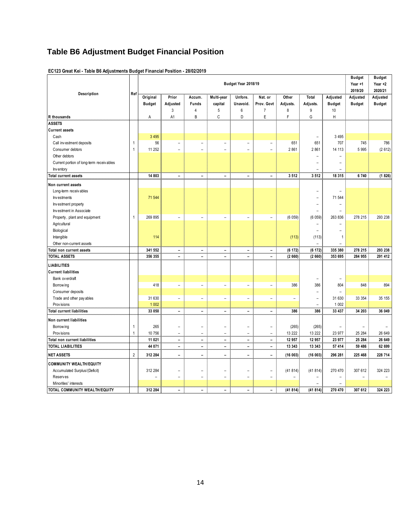# **Table B6 Adjustment Budget Financial Position**

|                                                |                |                           |                          | <b>Budget</b><br>Year +1<br>2019/20 | <b>Budget</b><br>Year $+2$<br>2020/21 |                          |                          |                          |                                      |                           |                           |                           |
|------------------------------------------------|----------------|---------------------------|--------------------------|-------------------------------------|---------------------------------------|--------------------------|--------------------------|--------------------------|--------------------------------------|---------------------------|---------------------------|---------------------------|
| Description                                    | Ref            | Original<br><b>Budget</b> | Prior<br>Adjusted        | Accum.<br>Funds                     | Multi-year<br>capital                 | Unfore.<br>Unavoid.      | Nat. or<br>Prov. Govt    | Other<br>Adjusts.        | Total<br>Adjusts.                    | Adjusted<br><b>Budget</b> | Adjusted<br><b>Budget</b> | Adjusted<br><b>Budget</b> |
|                                                |                |                           | 3                        | 4                                   | 5                                     | 6                        | $\overline{7}$           | 8<br>F                   | 9                                    | 10                        |                           |                           |
| R thousands                                    |                | А                         | A1                       | B                                   | $\mathsf C$                           | D                        | E                        |                          | G                                    | Н                         |                           |                           |
| <b>ASSETS</b><br><b>Current assets</b>         |                |                           |                          |                                     |                                       |                          |                          |                          |                                      |                           |                           |                           |
| Cash                                           |                | 3 4 9 5                   |                          |                                     |                                       |                          |                          |                          | $\qquad \qquad -$                    | 3 4 9 5                   |                           |                           |
| Call investment deposits                       | $\mathbf{1}$   | 56                        | $\equiv$                 | $\overline{\phantom{0}}$            | $\equiv$                              | $\equiv$                 | $\overline{\phantom{0}}$ | 651                      | 651                                  | 707                       | 745                       | 786                       |
| Consumer debtors                               | $\mathbf{1}$   | 11 252                    | $\overline{a}$           | $\overline{\phantom{0}}$            | $\overline{\phantom{a}}$              | $\overline{\phantom{a}}$ | $\overline{\phantom{a}}$ | 2 8 6 1                  | 2861                                 | 14 113                    | 5 9 9 5                   | (2612)                    |
| Other debtors                                  |                |                           |                          |                                     |                                       |                          |                          |                          | $\overline{\phantom{0}}$             | $\equiv$                  |                           |                           |
| Current portion of long-term receiv ables      |                |                           |                          |                                     |                                       |                          |                          |                          | $\overline{\phantom{0}}$             | $\overline{a}$            |                           |                           |
| Inv entory                                     |                |                           |                          |                                     |                                       |                          |                          |                          | $\overline{a}$                       |                           |                           |                           |
| <b>Total current assets</b>                    |                | 14 803                    | $\overline{\phantom{a}}$ | $\overline{\phantom{0}}$            | $\overline{\phantom{a}}$              | $\overline{\phantom{0}}$ | $\overline{\phantom{0}}$ | 3 5 1 2                  | 3 5 1 2                              | 18 315                    | 6740                      | (1826)                    |
|                                                |                |                           |                          |                                     |                                       |                          |                          |                          |                                      |                           |                           |                           |
| Non current assets                             |                |                           |                          |                                     |                                       |                          |                          |                          |                                      |                           |                           |                           |
| Long-term receivables                          |                | 71 544                    |                          |                                     |                                       |                          |                          |                          | $\overline{\phantom{0}}$<br>$\equiv$ | 71 544                    |                           |                           |
| Investments                                    |                |                           |                          |                                     |                                       |                          |                          |                          | $\overline{\phantom{0}}$             | $\equiv$                  |                           |                           |
| Investment property<br>Investment in Associate |                |                           |                          |                                     |                                       |                          |                          |                          | $\overline{\phantom{0}}$             | $\overline{a}$            |                           |                           |
|                                                | $\mathbf{1}$   | 269 895                   | $\overline{\phantom{a}}$ | $\overline{\phantom{a}}$            | $\overline{\phantom{a}}$              | $\overline{\phantom{a}}$ | $\overline{\phantom{a}}$ | (6059)                   | (6059)                               | 263 836                   | 278 215                   | 293 238                   |
| Property, plant and equipment<br>Agricultural  |                |                           |                          |                                     |                                       |                          |                          |                          | $\qquad \qquad -$                    | $\equiv$                  |                           |                           |
| Biological                                     |                |                           |                          |                                     |                                       |                          |                          |                          | $\overline{\phantom{0}}$             | $\equiv$                  |                           |                           |
| Intangible                                     |                | 114                       |                          |                                     |                                       |                          |                          | (113)                    | (113)                                | $\mathbf{1}$              |                           |                           |
| Other non-current assets                       |                |                           |                          |                                     |                                       |                          |                          |                          | $\qquad \qquad -$                    | $\equiv$                  |                           |                           |
| Total non current assets                       |                | 341 552                   | $\overline{\phantom{a}}$ | $\overline{\phantom{a}}$            | $\overline{\phantom{a}}$              | $\overline{\phantom{a}}$ | $\overline{\phantom{a}}$ | (6172)                   | (6172)                               | 335 380                   | 278 215                   | 293 238                   |
| TOTAL ASSETS                                   |                | 356 355                   | $\overline{\phantom{a}}$ | $\overline{\phantom{0}}$            | $\overline{\phantom{0}}$              | $\overline{\phantom{0}}$ | $\overline{\phantom{0}}$ | (2660)                   | (2660)                               | 353 695                   | 284 955                   | 291 412                   |
|                                                |                |                           |                          |                                     |                                       |                          |                          |                          |                                      |                           |                           |                           |
| <b>LIABILITIES</b>                             |                |                           |                          |                                     |                                       |                          |                          |                          |                                      |                           |                           |                           |
| <b>Current liabilities</b>                     |                |                           |                          |                                     |                                       |                          |                          |                          |                                      |                           |                           |                           |
| Bank ov erdraft                                |                |                           |                          |                                     |                                       |                          |                          |                          | $\overline{\phantom{0}}$             | $\overline{\phantom{0}}$  |                           | 894                       |
| Borrow ing                                     |                | 418                       | $\overline{\phantom{a}}$ | $\overline{\phantom{a}}$            | $\overline{\phantom{a}}$              | $\overline{\phantom{a}}$ | $\overline{\phantom{a}}$ | 386                      | 386                                  | 804                       | 848                       |                           |
| Consumer deposits                              |                | 31 630                    |                          |                                     |                                       |                          |                          | $\overline{\phantom{a}}$ | $\overline{\phantom{0}}$             | 31 630                    | 33 354                    | 35 155                    |
| Trade and other pay ables                      |                | 1 0 0 2                   | $\overline{\phantom{a}}$ | $\overline{\phantom{a}}$            | $\overline{\phantom{a}}$              | $\overline{\phantom{a}}$ | $\overline{\phantom{a}}$ |                          | $\overline{\phantom{0}}$<br>÷.       | 1 0 0 2                   |                           |                           |
| Prov isions                                    |                |                           |                          | $\overline{\phantom{0}}$            | $\overline{\phantom{0}}$              | $\overline{\phantom{a}}$ | $\overline{\phantom{0}}$ | 386                      | 386                                  |                           |                           | 36 049                    |
| <b>Total current liabilities</b>               |                | 33 050                    | $\overline{\phantom{a}}$ |                                     |                                       |                          |                          |                          |                                      | 33 437                    | 34 203                    |                           |
| Non current liabilities                        |                |                           |                          |                                     |                                       |                          |                          |                          |                                      |                           |                           |                           |
| Borrow ing                                     | 1              | 265                       | $\equiv$                 | $\equiv$                            | $\equiv$                              | ÷.                       | $\equiv$                 | (265)                    | (265)                                |                           | $\equiv$                  |                           |
| Prov isions                                    | $\mathbf{1}$   | 10 756                    | $\equiv$                 | $\equiv$                            | $\overline{\phantom{a}}$              | $\equiv$                 | $\equiv$                 | 13 222                   | 13 222                               | 23 977                    | 25 284                    | 26 649                    |
| Total non current liabilities                  |                | 11 021                    | $\overline{\phantom{a}}$ | $\overline{\phantom{0}}$            | $\overline{\phantom{a}}$              | $\overline{\phantom{0}}$ | $\overline{\phantom{0}}$ | 12 957                   | 12 957                               | 23 977                    | 25 284                    | 26 649                    |
| <b>TOTAL LIABILITIES</b>                       |                | 44 071                    | $\overline{\phantom{a}}$ | $\overline{\phantom{0}}$            | $\overline{\phantom{a}}$              | $\overline{\phantom{0}}$ | $\overline{\phantom{a}}$ | 13 343                   | 13 343                               | 57 414                    | 59 486                    | 62 699                    |
| <b>NET ASSETS</b>                              | $\overline{2}$ | 312 284                   | $\overline{\phantom{a}}$ | $\overline{\phantom{0}}$            | $\overline{\phantom{a}}$              | $\overline{a}$           | $\overline{\phantom{0}}$ | (16003)                  | (16003)                              | 296 281                   | 225 468                   | 228 714                   |
| <b>COMMUNITY WEALTH/EQUITY</b>                 |                |                           |                          |                                     |                                       |                          |                          |                          |                                      |                           |                           |                           |
| Accumulated Surplus/(Deficit)                  |                | 312 284                   | $\overline{\phantom{a}}$ | $\overline{\phantom{a}}$            | $\overline{\phantom{a}}$              | $\qquad \qquad -$        | $\overline{\phantom{0}}$ | (41814)                  | (41814)                              | 270 470                   | 307 612                   | 324 223                   |
| <b>Reserves</b>                                |                |                           | $\overline{\phantom{a}}$ | $\overline{\phantom{0}}$            | $\overline{\phantom{a}}$              | $\equiv$                 | $\overline{\phantom{0}}$ | $\overline{\phantom{0}}$ | -                                    | $\overline{\phantom{0}}$  | $\equiv$                  |                           |
| Minorities' interests                          |                |                           |                          |                                     |                                       |                          |                          |                          | $\overline{\phantom{0}}$             |                           |                           |                           |
| TOTAL COMMUNITY WEALTH/EQUITY                  |                | 312 284                   | $\overline{\phantom{a}}$ | $\overline{\phantom{a}}$            | $\overline{\phantom{a}}$              | $\overline{\phantom{a}}$ | $\overline{\phantom{0}}$ | (41814)                  | (41814)                              | 270 470                   | 307 612                   | 324 223                   |

**EC123 Great Kei - Table B6 Adjustments Budget Financial Position - 28/02/2019**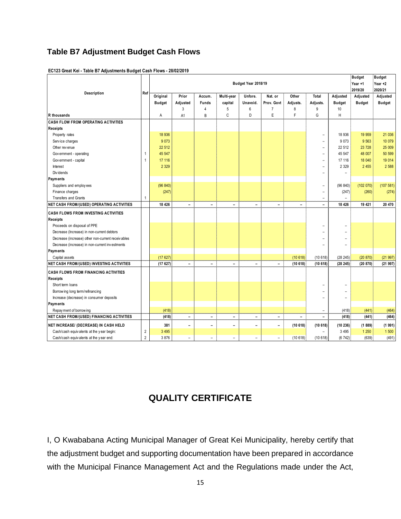# **Table B7 Adjustment Budget Cash Flows**

|                                                                             |                |               | Budget                   |                          |                          |                          |                          |                          |                                                      |                          |               |                |
|-----------------------------------------------------------------------------|----------------|---------------|--------------------------|--------------------------|--------------------------|--------------------------|--------------------------|--------------------------|------------------------------------------------------|--------------------------|---------------|----------------|
|                                                                             |                |               |                          |                          |                          | Budget Year 2018/19      |                          |                          |                                                      |                          | Year +1       | Year +2        |
| Description                                                                 | Ref            |               |                          |                          |                          |                          |                          |                          |                                                      |                          | 2019/20       | 2020/21        |
|                                                                             |                | Original      | Prior                    | Accum.                   | Multi-year               | Unfore.                  | Nat. or                  | Other                    | Total                                                | Adjusted                 | Adjusted      | Adjusted       |
|                                                                             |                | <b>Budget</b> | Adjusted                 | <b>Funds</b>             | capital                  | Unavoid.                 | Prov. Govt               | Adjusts.                 | Adjusts.                                             | <b>Budget</b>            | <b>Budget</b> | Budget         |
|                                                                             |                |               | 3                        | 4                        | 5                        | 6                        | $\overline{7}$           | 8                        | 9                                                    | 10                       |               |                |
| R thousands                                                                 |                | Α             | A <sub>1</sub>           | B                        | C                        | D                        | E                        | F                        | G                                                    | H.                       |               |                |
| CASH FLOW FROM OPERATING ACTIVITIES                                         |                |               |                          |                          |                          |                          |                          |                          |                                                      |                          |               |                |
| Receipts                                                                    |                |               |                          |                          |                          |                          |                          |                          |                                                      |                          |               |                |
| Property rates                                                              |                | 18 936        |                          |                          |                          |                          |                          |                          | $\rightarrow$                                        | 18 936                   | 19 959        | 21 036         |
| Service charges                                                             |                | 9 0 7 3       |                          |                          |                          |                          |                          |                          | $\overline{\phantom{m}}$                             | 9073                     | 9 5 6 3       | 10 079         |
| Other revenue                                                               |                | 22 512        |                          |                          |                          |                          |                          |                          | $\overline{\phantom{a}}$                             | 22 512                   | 23 728        | 25 009         |
| Gov ernment - operating                                                     |                | 45 547        |                          |                          |                          |                          |                          |                          | $\overline{\phantom{a}}$                             | 45 547                   | 48 007        | 50 599         |
| Gov ernment - capital                                                       |                | 17 116        |                          |                          |                          |                          |                          |                          | $\rightarrow$                                        | 17 116                   | 18 040        | 19 014         |
| Interest                                                                    |                | 2 3 2 9       |                          |                          |                          |                          |                          |                          | $\overline{\phantom{0}}$                             | 2 3 2 9                  | 2 4 5 5       | 2 5 8 8        |
| Div idends                                                                  |                |               |                          |                          |                          |                          |                          |                          |                                                      |                          |               |                |
| Payments                                                                    |                |               |                          |                          |                          |                          |                          |                          |                                                      |                          |               |                |
| Suppliers and employees                                                     |                | (96 840)      |                          |                          |                          |                          |                          |                          | $\overline{\phantom{a}}$                             | (96 840)                 | (102 070)     | (107581)       |
| Finance charges                                                             |                | (247)         |                          |                          |                          |                          |                          |                          | $\overline{\phantom{0}}$                             | (247)                    | (260)         | (274)          |
| <b>Transfers and Grants</b>                                                 | 1              |               |                          |                          |                          |                          |                          |                          | $\blacksquare$                                       |                          |               |                |
| NET CASH FROM/(USED) OPERATING ACTIVITIES                                   |                | 18 4 26       | ۰                        | $\overline{\phantom{0}}$ | $\overline{\phantom{a}}$ | $\overline{\phantom{0}}$ | -                        | $\overline{\phantom{0}}$ | $\overline{\phantom{0}}$                             | 18 4 26                  | 19 421        | 20 470         |
| CASH FLOWS FROM INVESTING ACTIVITIES                                        |                |               |                          |                          |                          |                          |                          |                          |                                                      |                          |               |                |
| Receipts                                                                    |                |               |                          |                          |                          |                          |                          |                          |                                                      |                          |               |                |
| Proceeds on disposal of PPE                                                 |                |               |                          |                          |                          |                          |                          |                          | $\blacksquare$                                       |                          |               |                |
| Decrease (Increase) in non-current debtors                                  |                |               |                          |                          |                          |                          |                          |                          | $\overline{\phantom{a}}$                             |                          |               |                |
| Decrease (increase) other non-current receiv ables                          |                |               |                          |                          |                          |                          |                          |                          |                                                      |                          |               |                |
| Decrease (increase) in non-current investments                              |                |               |                          |                          |                          |                          |                          |                          |                                                      | $\overline{\phantom{0}}$ |               |                |
| Payments                                                                    |                |               |                          |                          |                          |                          |                          |                          |                                                      |                          |               |                |
| Capital assets                                                              |                | (17627)       |                          |                          |                          |                          |                          | (10618)                  | (10618)                                              | (28 245)                 | (20 870)      | (21997)        |
| NET CASH FROM/(USED) INVESTING ACTIVITIES                                   |                | (17627)       | $\overline{\phantom{0}}$ | $\overline{\phantom{a}}$ | $\overline{\phantom{0}}$ | $\overline{\phantom{0}}$ | $\overline{a}$           | (10618)                  | (10618)                                              | (28245)                  | (20 870)      | (21997)        |
| <b>CASH FLOWS FROM FINANCING ACTIVITIES</b>                                 |                |               |                          |                          |                          |                          |                          |                          |                                                      |                          |               |                |
| Receipts                                                                    |                |               |                          |                          |                          |                          |                          |                          |                                                      |                          |               |                |
| Short term loans                                                            |                |               |                          |                          |                          |                          |                          |                          |                                                      |                          |               |                |
| Borrow ing long term/refinancing                                            |                |               |                          |                          |                          |                          |                          |                          | $\rightarrow$                                        |                          |               |                |
| Increase (decrease) in consumer deposits                                    |                |               |                          |                          |                          |                          |                          |                          | $\blacksquare$                                       | $\blacksquare$           |               |                |
| <b>Payments</b>                                                             |                |               |                          |                          |                          |                          |                          |                          |                                                      |                          |               |                |
|                                                                             |                | (418)         |                          |                          |                          |                          |                          |                          |                                                      | (418)                    | (441)         |                |
| Repay ment of borrowing<br><b>NET CASH FROM/(USED) FINANCING ACTIVITIES</b> |                | (418)         | $\overline{\phantom{0}}$ | $\overline{\phantom{a}}$ | $\overline{\phantom{0}}$ | $\overline{\phantom{a}}$ | $\overline{\phantom{0}}$ | $\overline{\phantom{0}}$ | $\overline{\phantom{0}}$<br>$\overline{\phantom{a}}$ | (418)                    | (441)         | (464)<br>(464) |
|                                                                             |                |               |                          |                          |                          |                          |                          |                          |                                                      |                          |               |                |
| NET INCREASE/ (DECREASE) IN CASH HELD                                       |                | 381           | $\overline{\phantom{0}}$ | $\overline{a}$           | $\overline{\phantom{0}}$ | $\overline{a}$           | -                        | (10618)                  | (10618)                                              | (10236)                  | (1889)        | (1991)         |
| Cash/cash equivalents at the year begin:                                    | $\overline{2}$ | 3 4 9 5       |                          |                          |                          |                          |                          |                          | $\equiv$                                             | 3 4 9 5                  | 1 2 5 0       | 1 500          |
| Cash/cash equivalents at the year end:                                      | $\overline{2}$ | 3 8 7 6       | $\equiv$                 | $\equiv$                 | $\overline{\phantom{a}}$ | $\equiv$                 | $\overline{\phantom{m}}$ | (10618)                  | (10618)                                              | (6742)                   | (639)         | (491)          |

**EC123 Great Kei - Table B7 Adjustments Budget Cash Flows - 28/02/2019**

# **QUALITY CERTIFICATE**

I, O Kwababana Acting Municipal Manager of Great Kei Municipality, hereby certify that the adjustment budget and supporting documentation have been prepared in accordance with the Municipal Finance Management Act and the Regulations made under the Act,